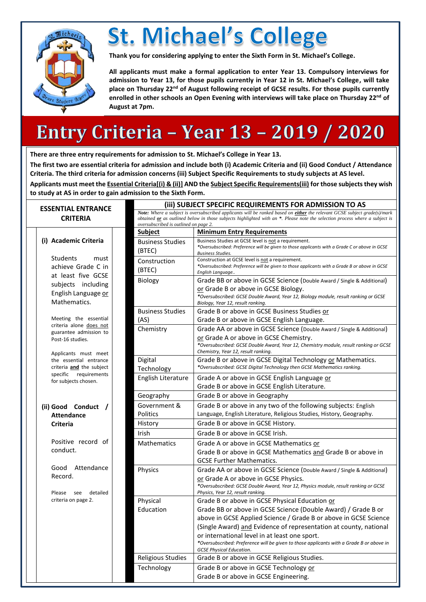

## **St. Michael's College**

**Thank you for considering applying to enter the Sixth Form in St. Michael's College.** 

**All applicants must make a formal application to enter Year 13. Compulsory interviews for admission to Year 13, for those pupils currently in Year 12 in St. Michael's College, will take place on Thursday 22nd of August following receipt of GCSE results. For those pupils currently enrolled in other schools an Open Evening with interviews will take place on Thursday 22 nd of August at 7pm.** 

### **Entry Criteria - Year 13 - 2019 / 2020**

**There are three entry requirements for admission to St. Michael's College in Year 13.** 

**The first two are essential criteria for admission and include both (i) Academic Criteria and (ii) Good Conduct / Attendance Criteria. The third criteria for admission concerns (iii) Subject Specific Requirements to study subjects at AS level.**

**Applicants must meet the Essential Criteria[(i) & (ii)] AND the Subject Specific Requirements(iii) for those subjects they wish to study at AS in order to gain admission to the Sixth Form.** 

| <b>ESSENTIAL ENTRANCE</b> |                                                                                                                                                                                                                                                     |                                   | (iii) SUBJECT SPECIFIC REQUIREMENTS FOR ADMISSION TO AS                                                                                                                                                                                                                                           |  |  |  |
|---------------------------|-----------------------------------------------------------------------------------------------------------------------------------------------------------------------------------------------------------------------------------------------------|-----------------------------------|---------------------------------------------------------------------------------------------------------------------------------------------------------------------------------------------------------------------------------------------------------------------------------------------------|--|--|--|
| <b>CRITERIA</b>           |                                                                                                                                                                                                                                                     |                                   | Note: Where a subject is oversubscribed applicants will be ranked based on either the relevant GCSE subject grade(s)/mark<br>obtained or as outlined below in those subjects highlighted with an *. Please note the selection process where a subject is<br>oversubscribed is outlined on page 2. |  |  |  |
|                           |                                                                                                                                                                                                                                                     | <b>Subject</b>                    | <b>Minimum Entry Requirements</b>                                                                                                                                                                                                                                                                 |  |  |  |
|                           | (i) Academic Criteria                                                                                                                                                                                                                               | <b>Business Studies</b><br>(BTEC) | Business Studies at GCSE level is not a requirement.<br>*Oversubscribed: Preference will be given to those applicants with a Grade C or above in GCSE<br><b>Business Studies.</b>                                                                                                                 |  |  |  |
|                           | Students<br>must<br>achieve Grade C in<br>at least five GCSE<br>subjects including<br>English Language or<br>Mathematics.<br>Meeting the essential<br>criteria alone does not<br>guarantee admission to<br>Post-16 studies.<br>Applicants must meet | Construction<br>(BTEC)            | Construction at GCSE level is not a requirement.<br>*Oversubscribed: Preference will be given to those applicants with a Grade B or above in GCSE<br>English Language                                                                                                                             |  |  |  |
|                           |                                                                                                                                                                                                                                                     | Biology                           | Grade BB or above in GCSE Science (Double Award / Single & Additional)<br>or Grade B or above in GCSE Biology.<br>*Oversubscribed: GCSE Double Award, Year 12, Biology module, result ranking or GCSE<br>Biology, Year 12, result ranking.                                                        |  |  |  |
|                           |                                                                                                                                                                                                                                                     | <b>Business Studies</b><br>(AS)   | Grade B or above in GCSE Business Studies or<br>Grade B or above in GCSE English Language.                                                                                                                                                                                                        |  |  |  |
|                           |                                                                                                                                                                                                                                                     | Chemistry                         | Grade AA or above in GCSE Science (Double Award / Single & Additional)<br>or Grade A or above in GCSE Chemistry.<br>*Oversubscribed: GCSE Double Award, Year 12, Chemistry module, result ranking or GCSE<br>Chemistry, Year 12, result ranking.                                                  |  |  |  |
|                           | the essential entrance<br>criteria and the subject                                                                                                                                                                                                  | Digital<br>Technology             | Grade B or above in GCSE Digital Technology or Mathematics.<br>*Oversubscribed: GCSE Digital Technology then GCSE Mathematics ranking.                                                                                                                                                            |  |  |  |
|                           | specific requirements<br>for subjects chosen.                                                                                                                                                                                                       | English Literature                | Grade A or above in GCSE English Language or<br>Grade B or above in GCSE English Literature.                                                                                                                                                                                                      |  |  |  |
|                           |                                                                                                                                                                                                                                                     | Geography                         | Grade B or above in Geography                                                                                                                                                                                                                                                                     |  |  |  |
|                           | (ii) Good Conduct /                                                                                                                                                                                                                                 | Government &                      | Grade B or above in any two of the following subjects: English                                                                                                                                                                                                                                    |  |  |  |
|                           | <b>Attendance</b>                                                                                                                                                                                                                                   | Politics                          | Language, English Literature, Religious Studies, History, Geography.                                                                                                                                                                                                                              |  |  |  |
|                           | <b>Criteria</b>                                                                                                                                                                                                                                     | History                           | Grade B or above in GCSE History.                                                                                                                                                                                                                                                                 |  |  |  |
|                           |                                                                                                                                                                                                                                                     | Irish                             | Grade B or above in GCSE Irish.                                                                                                                                                                                                                                                                   |  |  |  |
|                           | Positive record of<br>conduct.                                                                                                                                                                                                                      | <b>Mathematics</b>                | Grade A or above in GCSE Mathematics or<br>Grade B or above in GCSE Mathematics and Grade B or above in<br><b>GCSE Further Mathematics.</b>                                                                                                                                                       |  |  |  |
|                           | Good<br>Attendance<br>Record.<br>Please<br>detailed<br>see                                                                                                                                                                                          | Physics                           | Grade AA or above in GCSE Science (Double Award / Single & Additional)<br>or Grade A or above in GCSE Physics.<br>*Oversubscribed: GCSE Double Award, Year 12, Physics module, result ranking or GCSE<br>Physics, Year 12, result ranking.                                                        |  |  |  |
|                           | criteria on page 2.                                                                                                                                                                                                                                 | Physical<br>Education             | Grade B or above in GCSE Physical Education or<br>Grade BB or above in GCSE Science (Double Award) / Grade B or<br>above in GCSE Applied Science / Grade B or above in GCSE Science                                                                                                               |  |  |  |
|                           |                                                                                                                                                                                                                                                     |                                   | (Single Award) and Evidence of representation at county, national<br>or international level in at least one sport.<br>*Oversubscribed: Preference will be given to those applicants with a Grade B or above in<br><b>GCSE Physical Education.</b>                                                 |  |  |  |
|                           |                                                                                                                                                                                                                                                     | <b>Religious Studies</b>          | Grade B or above in GCSE Religious Studies.                                                                                                                                                                                                                                                       |  |  |  |
|                           |                                                                                                                                                                                                                                                     | Technology                        | Grade B or above in GCSE Technology or<br>Grade B or above in GCSE Engineering.                                                                                                                                                                                                                   |  |  |  |
|                           |                                                                                                                                                                                                                                                     |                                   |                                                                                                                                                                                                                                                                                                   |  |  |  |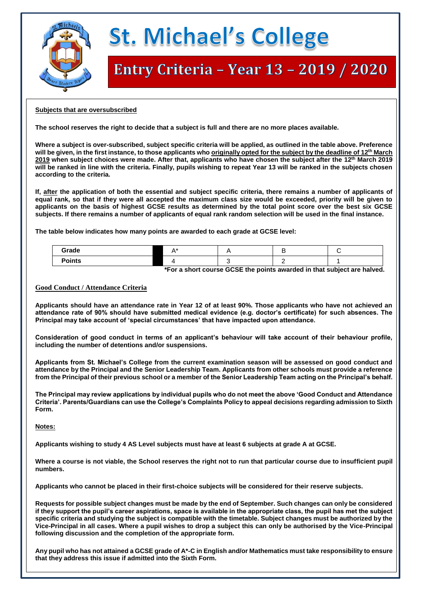

# **St. Michael's College**

### Entry Criteria - Year 13 - 2019 / 2020

### **Subjects that are oversubscribed**

**The school reserves the right to decide that a subject is full and there are no more places available.** 

**Where a subject is over-subscribed, subject specific criteria will be applied, as outlined in the table above. Preference will be given, in the first instance, to those applicants who originally opted for the subject by the deadline of 12th March 2019 when subject choices were made. After that, applicants who have chosen the subject after the 12th March 2019 will be ranked in line with the criteria. Finally, pupils wishing to repeat Year 13 will be ranked in the subjects chosen according to the criteria.** 

**If, after the application of both the essential and subject specific criteria, there remains a number of applicants of equal rank, so that if they were all accepted the maximum class size would be exceeded, priority will be given to applicants on the basis of highest GCSE results as determined by the total point score over the best six GCSE subjects. If there remains a number of applicants of equal rank random selection will be used in the final instance.**

**The table below indicates how many points are awarded to each grade at GCSE level:**

| Grade         |  |  |
|---------------|--|--|
| <b>Points</b> |  |  |

 **\*For a short course GCSE the points awarded in that subject are halved.** 

### **Good Conduct / Attendance Criteria**

**Applicants should have an attendance rate in Year 12 of at least 90%. Those applicants who have not achieved an attendance rate of 90% should have submitted medical evidence (e.g. doctor's certificate) for such absences. The Principal may take account of 'special circumstances' that have impacted upon attendance.**

**Consideration of good conduct in terms of an applicant's behaviour will take account of their behaviour profile, including the number of detentions and/or suspensions.** 

**Applicants from St. Michael's College from the current examination season will be assessed on good conduct and attendance by the Principal and the Senior Leadership Team. Applicants from other schools must provide a reference from the Principal of their previous school or a member of the Senior Leadership Team acting on the Principal's behalf.**

**The Principal may review applications by individual pupils who do not meet the above 'Good Conduct and Attendance Criteria'. Parents/Guardians can use the College's Complaints Policy to appeal decisions regarding admission to Sixth Form.** 

**Notes:**

**Applicants wishing to study 4 AS Level subjects must have at least 6 subjects at grade A at GCSE.**

**Where a course is not viable, the School reserves the right not to run that particular course due to insufficient pupil numbers.** 

**Applicants who cannot be placed in their first-choice subjects will be considered for their reserve subjects.**

**Requests for possible subject changes must be made by the end of September. Such changes can only be considered if they support the pupil's career aspirations, space is available in the appropriate class, the pupil has met the subject specific criteria and studying the subject is compatible with the timetable. Subject changes must be authorized by the Vice-Principal in all cases. Where a pupil wishes to drop a subject this can only be authorised by the Vice-Principal following discussion and the completion of the appropriate form.**

**Any pupil who has not attained a GCSE grade of A\*-C in English and/or Mathematics must take responsibility to ensure that they address this issue if admitted into the Sixth Form.**